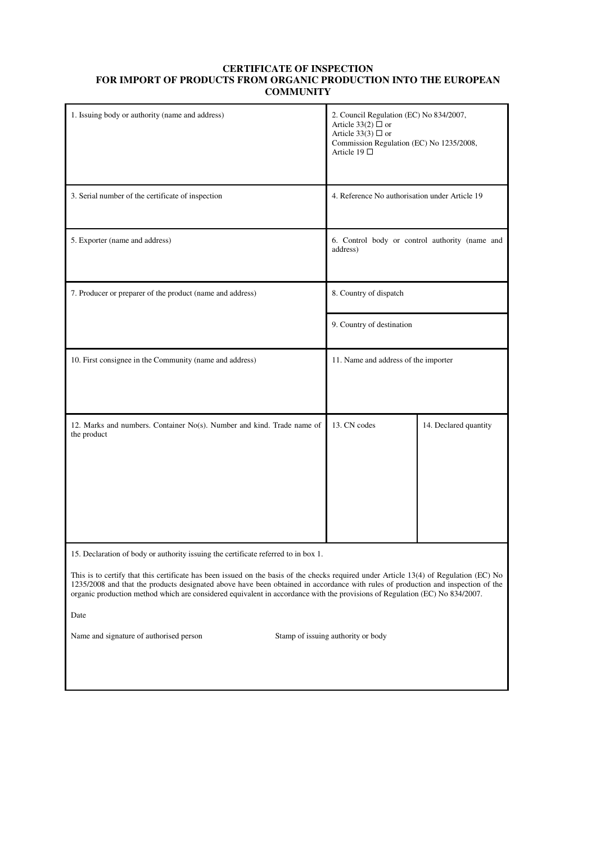## **CERTIFICATE OF INSPECTION FOR IMPORT OF PRODUCTS FROM ORGANIC PRODUCTION INTO THE EUROPEAN COMMUNITY**

| 1. Issuing body or authority (name and address)                                                                                                                                                                                                                                                                                                                                                                   | 2. Council Regulation (EC) No 834/2007,<br>Article 33(2) $\Box$ or<br>Article 33(3) $\Box$ or<br>Commission Regulation (EC) No 1235/2008,<br>Article 19 $\Box$ |                                                |  |
|-------------------------------------------------------------------------------------------------------------------------------------------------------------------------------------------------------------------------------------------------------------------------------------------------------------------------------------------------------------------------------------------------------------------|----------------------------------------------------------------------------------------------------------------------------------------------------------------|------------------------------------------------|--|
| 3. Serial number of the certificate of inspection                                                                                                                                                                                                                                                                                                                                                                 |                                                                                                                                                                | 4. Reference No authorisation under Article 19 |  |
| 5. Exporter (name and address)                                                                                                                                                                                                                                                                                                                                                                                    | address)                                                                                                                                                       | 6. Control body or control authority (name and |  |
| 7. Producer or preparer of the product (name and address)                                                                                                                                                                                                                                                                                                                                                         | 8. Country of dispatch                                                                                                                                         |                                                |  |
|                                                                                                                                                                                                                                                                                                                                                                                                                   | 9. Country of destination                                                                                                                                      |                                                |  |
| 10. First consignee in the Community (name and address)                                                                                                                                                                                                                                                                                                                                                           |                                                                                                                                                                | 11. Name and address of the importer           |  |
| 12. Marks and numbers. Container No(s). Number and kind. Trade name of<br>the product                                                                                                                                                                                                                                                                                                                             | 13. CN codes                                                                                                                                                   | 14. Declared quantity                          |  |
| 15. Declaration of body or authority issuing the certificate referred to in box 1.                                                                                                                                                                                                                                                                                                                                |                                                                                                                                                                |                                                |  |
| This is to certify that this certificate has been issued on the basis of the checks required under Article 13(4) of Regulation (EC) No<br>1235/2008 and that the products designated above have been obtained in accordance with rules of production and inspection of the<br>organic production method which are considered equivalent in accordance with the provisions of Regulation (EC) No 834/2007.<br>Date |                                                                                                                                                                |                                                |  |
| Name and signature of authorised person<br>Stamp of issuing authority or body                                                                                                                                                                                                                                                                                                                                     |                                                                                                                                                                |                                                |  |